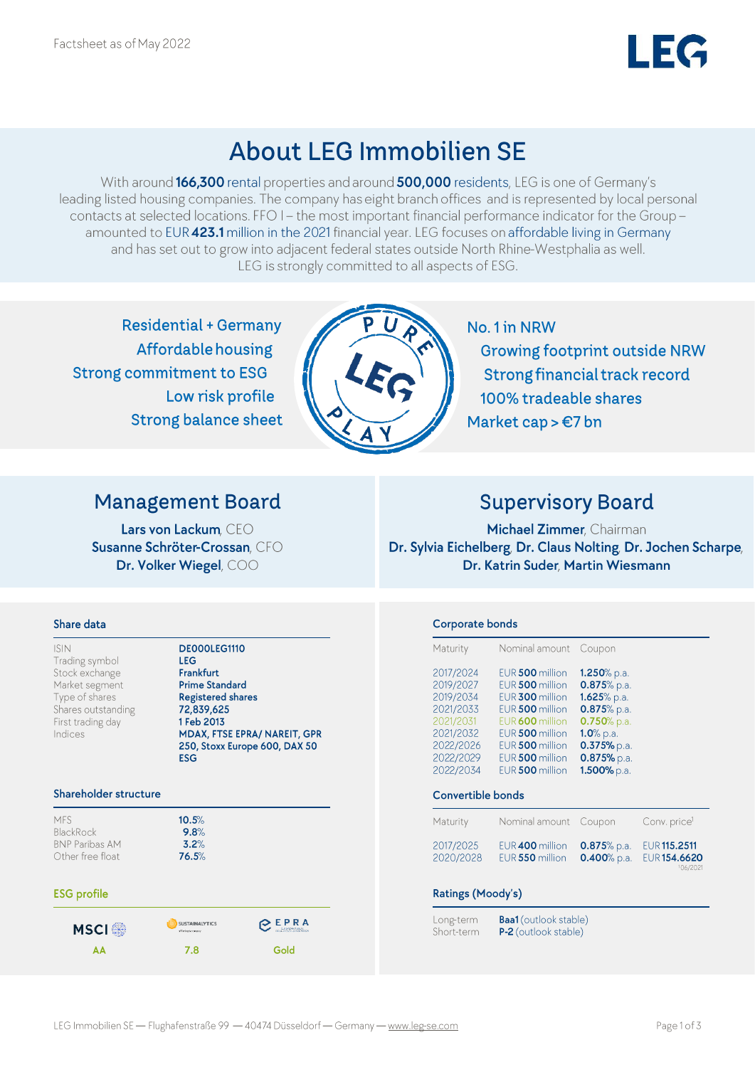## **About LEG Immobilien SE**

With around 166,300 rental properties and around 500,000 residents, LEG is one of Germany's leading listed housing companies. The company has eight branch offices and is represented by local personal contacts at selected locations. FFO I - the most important financial performance indicator for the Group amounted to EUR 423.1 million in the 2021 financial year. LEG focuses on affordable living in Germany and has set out to grow into adjacent federal states outside North Rhine-Westphalia as well. LEG is strongly committed to all aspects of ESG.

**Residential + Germany Affordable housing Strong commitment to ESG** Low risk profile **Strong balance sheet** 



No. 1 in NRW **Growing footprint outside NRW Strong financial track record** 100% tradeable shares Market cap > €7 bn

## **Management Board**

Lars von Lackum, CEO Susanne Schröter-Crossan, CFO Dr. Volker Wiegel, COO

## **Supervisory Board**

Michael Zimmer, Chairman Dr. Sylvia Eichelberg, Dr. Claus Nolting, Dr. Jochen Scharpe, Dr. Katrin Suder, Martin Wiesmann

### Share data

| <b>ISIN</b>        | DE000LEG1110                  |
|--------------------|-------------------------------|
| Trading symbol     | <b>LEG</b>                    |
| Stock exchange     | <b>Frankfurt</b>              |
| Market segment     | <b>Prime Standard</b>         |
| Type of shares     | <b>Registered shares</b>      |
| Shares outstanding | 72,839,625                    |
| First trading day  | 1 Feb 2013                    |
| Indices            | MDAX, FTSE EPRA/ NAREIT, GPR  |
|                    | 250, Stoxx Europe 600, DAX 50 |
|                    | ECC                           |

 $10.5%$ 

 $9.8%$ 

 $3.2%$ 76.5%

#### Shareholder structure

MFS BlackRock **BNP Paribas AM** Other free float

### **ESG** profile



## Corporate bonds

| 2017/2024<br>EUR 500 million<br>1.250% p.a.<br>2019/2027<br>EUR 500 million<br>0.875% p.a.<br>2019/2034<br>1.625% p.a.<br>EUR 300 million<br>2021/2033<br>EUR 500 million<br>0.875% p.a.<br>2021/2031<br>$0.750%$ p.a.<br>EUR 600 million<br>2021/2032<br>EUR 500 million<br>$1.0\%$ p.a.<br>2022/2026<br>EUR 500 million<br>$0.375%$ p.a. |  |
|--------------------------------------------------------------------------------------------------------------------------------------------------------------------------------------------------------------------------------------------------------------------------------------------------------------------------------------------|--|
|                                                                                                                                                                                                                                                                                                                                            |  |
| 2022/2029<br>$0.875%$ p.a.<br>EUR 500 million<br>1.500% p.a.<br>2022/2034<br>EUR 500 million                                                                                                                                                                                                                                               |  |

#### Convertible bonds

| Maturity               | Nominal amount Coupon              |                                | Conv. price <sup>1</sup>                        |
|------------------------|------------------------------------|--------------------------------|-------------------------------------------------|
| 2017/2025<br>2020/2028 | EUR 400 million<br>EUR 550 million | $0.875%$ p.a.<br>$0.400%$ p.a. | <b>EUR 115.2511</b><br>EUR 154.6620<br>106/2021 |

### Ratings (Moody's)

Long-term Short-term

**Baa1** (outlook stable) P-2 (outlook stable)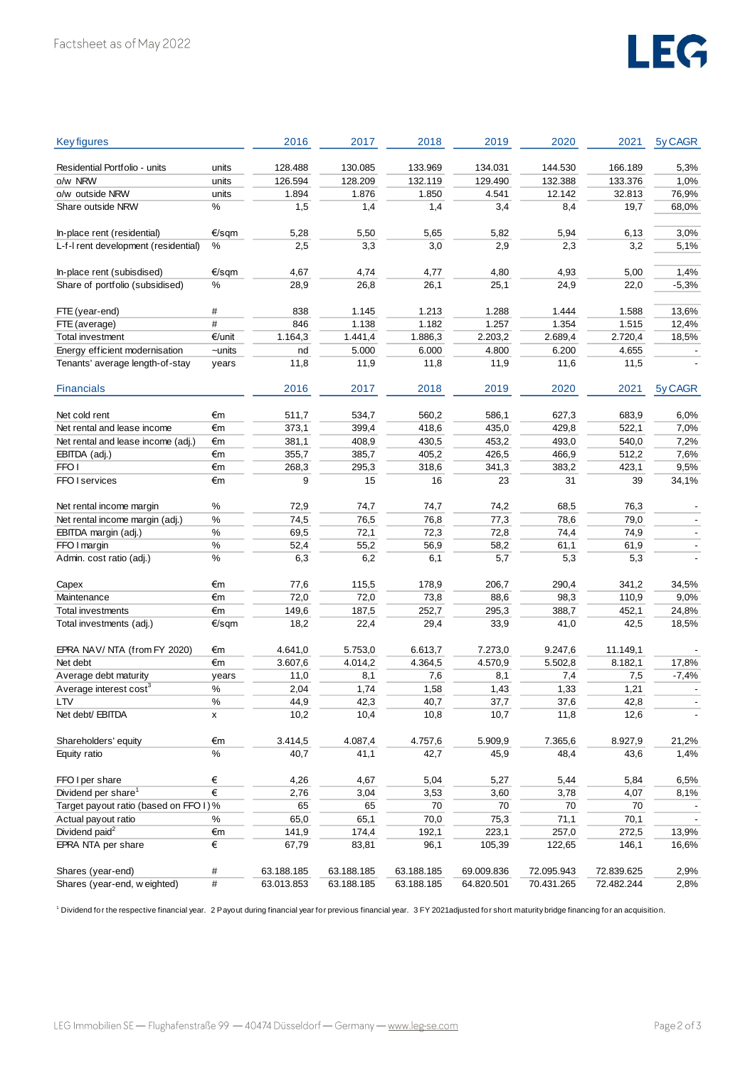# LEG

| <b>Key figures</b>                     |        | 2016       | 2017            | 2018            | 2019       | 2020       | 2021       | 5y CAGR |
|----------------------------------------|--------|------------|-----------------|-----------------|------------|------------|------------|---------|
|                                        |        |            |                 |                 |            |            |            |         |
| Residential Portfolio - units          | units  | 128.488    | 130.085         | 133.969         | 134.031    | 144.530    | 166.189    | 5,3%    |
| o/w NRW                                | units  | 126.594    | 128.209         | 132.119         | 129.490    | 132.388    | 133.376    | 1,0%    |
| o/w outside NRW                        | units  | 1.894      | 1.876           | 1.850           | 4.541      | 12.142     | 32.813     | 76,9%   |
| Share outside NRW                      | %      | 1,5        | 1,4             | 1,4             | 3,4        | 8,4        | 19,7       | 68,0%   |
| In-place rent (residential)            | €/sqm  | 5,28       | 5,50            | 5,65            | 5,82       | 5,94       | 6,13       | 3,0%    |
| L-f-I rent development (residential)   | %      | 2,5        | 3,3             | 3,0             | 2,9        | 2,3        | 3,2        | 5,1%    |
|                                        |        |            |                 |                 |            |            |            |         |
| In-place rent (subisdised)             | €/sqm  | 4,67       | 4,74            | 4,77            | 4,80       | 4,93       | 5,00       | 1,4%    |
| Share of portfolio (subsidised)        | %      | 28,9       | 26,8            | 26,1            | 25,1       | 24,9       | 22,0       | $-5,3%$ |
|                                        |        |            |                 |                 |            |            |            |         |
| FTE (year-end)                         | #      | 838        | 1.145           | 1.213           | 1.288      | 1.444      | 1.588      | 13,6%   |
| FTE (average)                          | #      | 846        | 1.138           | 1.182           | 1.257      | 1.354      | 1.515      | 12,4%   |
| Total investment                       | €/unit | 1.164,3    | 1.441,4         | 1.886,3         | 2.203,2    | 2.689,4    | 2.720,4    | 18,5%   |
| Energy efficient modernisation         | ~units | nd         | 5.000           | 6.000           | 4.800      | 6.200      | 4.655      |         |
| Tenants' average length-of-stay        | years  | 11,8       | 11,9            | 11,8            | 11,9       | 11,6       | 11,5       |         |
|                                        |        |            |                 |                 |            |            |            |         |
| <b>Financials</b>                      |        | 2016       | 2017            | 2018            | 2019       | 2020       | 2021       | 5y CAGR |
|                                        |        |            |                 |                 |            |            |            |         |
| Net cold rent                          | €m     | 511,7      | 534,7           | 560,2           | 586,1      | 627,3      | 683,9      | 6,0%    |
| Net rental and lease income            | €m     | 373,1      | 399,4           | 418,6           | 435,0      | 429,8      | 522,1      | 7,0%    |
| Net rental and lease income (adj.)     | €m     | 381,1      | 408,9           | 430,5           | 453,2      | 493,0      | 540,0      | 7,2%    |
| EBITDA (adj.)                          | €m     | 355,7      | 385,7           | 405,2           | 426,5      | 466,9      | 512,2      | 7,6%    |
| FFO <sub>I</sub>                       | €m     | 268,3      | 295,3           | 318,6           | 341,3      | 383,2      | 423,1      | 9,5%    |
| FFO I services                         | €m     | 9          | 15              | 16              | 23         | 31         | 39         | 34,1%   |
|                                        |        |            |                 |                 |            |            |            |         |
| Net rental income margin               | $\%$   | 72,9       | 74,7            | 74,7            | 74,2       | 68,5       | 76,3       |         |
| Net rental income margin (adj.)        | $\%$   | 74,5       | 76,5            | 76,8            | 77,3       | 78,6       | 79,0       |         |
| EBITDA margin (adj.)                   | %      | 69,5       | 72,1            | 72,3            | 72,8       | 74,4       | 74,9       |         |
| FFO I margin                           | $\%$   | 52,4       | 55,2            | 56,9            | 58,2       | 61,1       | 61,9       |         |
| Admin. cost ratio (adj.)               | $\%$   | 6,3        | 6,2             | 6,1             | 5,7        | 5,3        | 5,3        |         |
| Capex                                  | €m     | 77,6       | 115,5           | 178,9           | 206,7      | 290,4      | 341,2      | 34,5%   |
| Maintenance                            | €m     | 72,0       | 72,0            | 73,8            | 88,6       | 98,3       | 110,9      | 9,0%    |
| Total investments                      | €m     | 149,6      | 187,5           | 252,7           | 295,3      | 388,7      | 452,1      | 24,8%   |
| Total investments (adj.)               | €/sqm  | 18,2       | 22,4            | 29,4            | 33,9       | 41,0       | 42,5       | 18,5%   |
|                                        |        |            |                 |                 |            |            |            |         |
| EPRA NAV/ NTA (from FY 2020)           | €m     | 4.641,0    | 5.753,0         | 6.613,7         | 7.273,0    | 9.247,6    | 11.149,1   |         |
| Net debt                               | €m     | 3.607,6    | 4.014,2         | 4.364,5         | 4.570,9    | 5.502,8    | 8.182,1    | 17,8%   |
| Average debt maturity                  | years  | 11,0       | 8,1             | 7,6             | 8,1        | 7,4        | 7,5        | $-7,4%$ |
| Average interest cost <sup>3</sup>     | $\%$   | 2,04       | 1,74            | 1,58            | 1,43       | 1,33       | 1,21       |         |
| <b>LTV</b>                             | $\%$   | 44,9       | 42.3            | 40,7            | 37,7       | 37,6       | 42.8       |         |
| Net debt/ EBITDA                       | X      | 10,2       | 10,4            | 10,8            | 10,7       | 11,8       | 12,6       |         |
| Shareholders' equity                   | €m     |            |                 |                 |            |            |            |         |
| Equity ratio                           | $\%$   | 3.414,5    | 4.087,4<br>41,1 | 4.757,6<br>42,7 | 5.909,9    | 7.365,6    | 8.927,9    | 21,2%   |
|                                        |        | 40,7       |                 |                 | 45,9       | 48,4       | 43,6       | 1,4%    |
| FFO I per share                        | €      | 4,26       | 4,67            | 5,04            | 5,27       | 5,44       | 5,84       | 6,5%    |
| Dividend per share <sup>1</sup>        | $\in$  | 2,76       | 3,04            | 3,53            | 3,60       | 3,78       | 4,07       | 8,1%    |
| Target payout ratio (based on FFO I) % |        | 65         | 65              | 70              | 70         | 70         | 70         |         |
| Actual payout ratio                    | %      | 65,0       | 65,1            | 70,0            | 75,3       | 71,1       | 70,1       |         |
| Dividend paid <sup>2</sup>             | €m     | 141,9      | 174,4           | 192,1           | 223,1      | 257,0      | 272,5      | 13,9%   |
| EPRA NTA per share                     | €      | 67,79      | 83,81           | 96,1            | 105,39     | 122,65     | 146,1      | 16,6%   |
| Shares (year-end)                      | $\#$   | 63.188.185 | 63.188.185      | 63.188.185      | 69.009.836 | 72.095.943 | 72.839.625 | 2,9%    |
| Shares (year-end, weighted)            | $\#$   | 63.013.853 | 63.188.185      | 63.188.185      | 64.820.501 | 70.431.265 | 72.482.244 | 2,8%    |
|                                        |        |            |                 |                 |            |            |            |         |

1 Dividend for the respective financial year. 2 Payout during financial year for previous financial year. 3 FY 2021 adjusted for short maturity bridge financing for an acquisition.